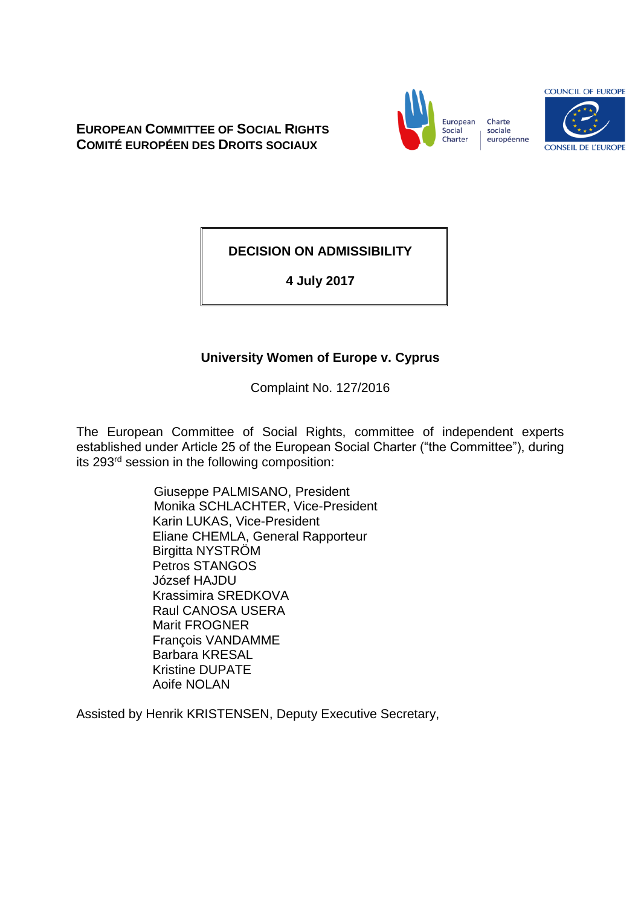**EUROPEAN COMMITTEE OF SOCIAL RIGHTS COMITÉ EUROPÉEN DES DROITS SOCIAUX**



Charte sociale européenne



**DECISION ON ADMISSIBILITY**

**4 July 2017**

# **University Women of Europe v. Cyprus**

Complaint No. 127/2016

The European Committee of Social Rights, committee of independent experts established under Article 25 of the European Social Charter ("the Committee"), during its 293rd session in the following composition:

> Giuseppe PALMISANO, President Monika SCHLACHTER, Vice-President Karin LUKAS, Vice-President Eliane CHEMLA, General Rapporteur Birgitta NYSTRÖM Petros STANGOS József HAJDU Krassimira SREDKOVA Raul CANOSA USERA Marit FROGNER François VANDAMME Barbara KRESAL Kristine DUPATE Aoife NOLAN

Assisted by Henrik KRISTENSEN, Deputy Executive Secretary,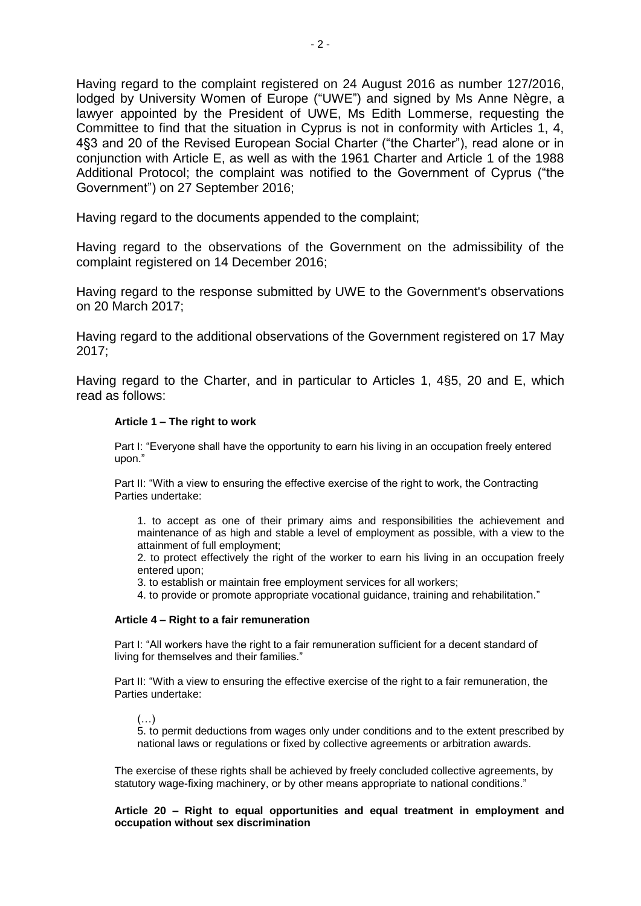Having regard to the complaint registered on 24 August 2016 as number 127/2016, lodged by University Women of Europe ("UWE") and signed by Ms Anne Nègre, a lawyer appointed by the President of UWE, Ms Edith Lommerse, requesting the Committee to find that the situation in Cyprus is not in conformity with Articles 1, 4, 4§3 and 20 of the Revised European Social Charter ("the Charter"), read alone or in conjunction with Article E, as well as with the 1961 Charter and Article 1 of the 1988 Additional Protocol; the complaint was notified to the Government of Cyprus ("the Government") on 27 September 2016;

Having regard to the documents appended to the complaint;

Having regard to the observations of the Government on the admissibility of the complaint registered on 14 December 2016;

Having regard to the response submitted by UWE to the Government's observations on 20 March 2017;

Having regard to the additional observations of the Government registered on 17 May 2017;

Having regard to the Charter, and in particular to Articles 1, 4§5, 20 and E, which read as follows:

### **Article 1 – The right to work**

Part I: "Everyone shall have the opportunity to earn his living in an occupation freely entered upon."

Part II: "With a view to ensuring the effective exercise of the right to work, the Contracting Parties undertake:

1. to accept as one of their primary aims and responsibilities the achievement and maintenance of as high and stable a level of employment as possible, with a view to the attainment of full employment;

2. to protect effectively the right of the worker to earn his living in an occupation freely entered upon;

3. to establish or maintain free employment services for all workers;

4. to provide or promote appropriate vocational guidance, training and rehabilitation."

#### **Article 4 – Right to a fair remuneration**

Part I: "All workers have the right to a fair remuneration sufficient for a decent standard of living for themselves and their families."

Part II: "With a view to ensuring the effective exercise of the right to a fair remuneration, the Parties undertake:

 $(\ldots)$ 

5. to permit deductions from wages only under conditions and to the extent prescribed by national laws or regulations or fixed by collective agreements or arbitration awards.

The exercise of these rights shall be achieved by freely concluded collective agreements, by statutory wage-fixing machinery, or by other means appropriate to national conditions."

**Article 20 – Right to equal opportunities and equal treatment in employment and occupation without sex discrimination**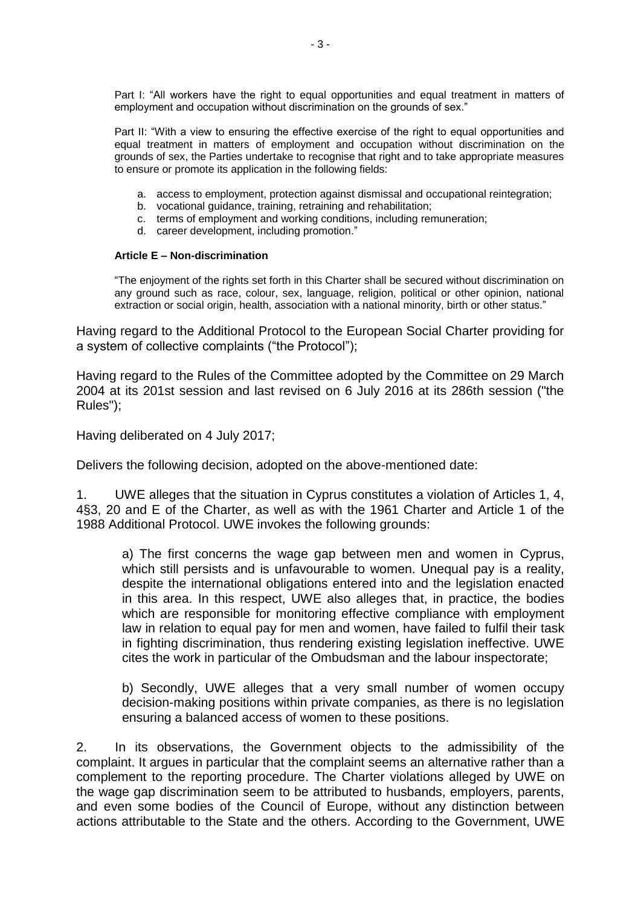Part I: "All workers have the right to equal opportunities and equal treatment in matters of employment and occupation without discrimination on the grounds of sex."

Part II: "With a view to ensuring the effective exercise of the right to equal opportunities and equal treatment in matters of employment and occupation without discrimination on the grounds of sex, the Parties undertake to recognise that right and to take appropriate measures to ensure or promote its application in the following fields:

- a. access to employment, protection against dismissal and occupational reintegration;
- b. vocational guidance, training, retraining and rehabilitation;
- c. terms of employment and working conditions, including remuneration;
- d. career development, including promotion."

### **Article E – Non-discrimination**

"The enjoyment of the rights set forth in this Charter shall be secured without discrimination on any ground such as race, colour, sex, language, religion, political or other opinion, national extraction or social origin, health, association with a national minority, birth or other status."

Having regard to the Additional Protocol to the European Social Charter providing for a system of collective complaints ("the Protocol");

Having regard to the Rules of the Committee adopted by the Committee on 29 March 2004 at its 201st session and last revised on 6 July 2016 at its 286th session ("the Rules");

Having deliberated on 4 July 2017;

Delivers the following decision, adopted on the above-mentioned date:

1. UWE alleges that the situation in Cyprus constitutes a violation of Articles 1, 4, 4§3, 20 and E of the Charter, as well as with the 1961 Charter and Article 1 of the 1988 Additional Protocol. UWE invokes the following grounds:

a) The first concerns the wage gap between men and women in Cyprus, which still persists and is unfavourable to women. Unequal pay is a reality, despite the international obligations entered into and the legislation enacted in this area. In this respect, UWE also alleges that, in practice, the bodies which are responsible for monitoring effective compliance with employment law in relation to equal pay for men and women, have failed to fulfil their task in fighting discrimination, thus rendering existing legislation ineffective. UWE cites the work in particular of the Ombudsman and the labour inspectorate;

b) Secondly, UWE alleges that a very small number of women occupy decision-making positions within private companies, as there is no legislation ensuring a balanced access of women to these positions.

2. In its observations, the Government objects to the admissibility of the complaint. It argues in particular that the complaint seems an alternative rather than a complement to the reporting procedure. The Charter violations alleged by UWE on the wage gap discrimination seem to be attributed to husbands, employers, parents, and even some bodies of the Council of Europe, without any distinction between actions attributable to the State and the others. According to the Government, UWE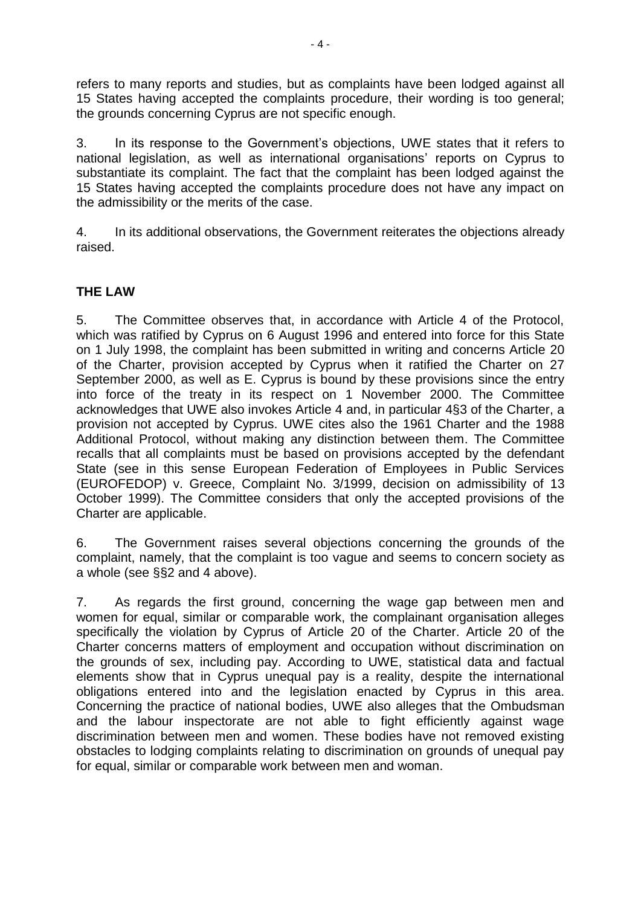refers to many reports and studies, but as complaints have been lodged against all 15 States having accepted the complaints procedure, their wording is too general; the grounds concerning Cyprus are not specific enough.

3. In its response to the Government's objections, UWE states that it refers to national legislation, as well as international organisations' reports on Cyprus to substantiate its complaint. The fact that the complaint has been lodged against the 15 States having accepted the complaints procedure does not have any impact on the admissibility or the merits of the case.

4. In its additional observations, the Government reiterates the objections already raised.

## **THE LAW**

5. The Committee observes that, in accordance with Article 4 of the Protocol, which was ratified by Cyprus on 6 August 1996 and entered into force for this State on 1 July 1998, the complaint has been submitted in writing and concerns Article 20 of the Charter, provision accepted by Cyprus when it ratified the Charter on 27 September 2000, as well as E. Cyprus is bound by these provisions since the entry into force of the treaty in its respect on 1 November 2000. The Committee acknowledges that UWE also invokes Article 4 and, in particular 4§3 of the Charter, a provision not accepted by Cyprus. UWE cites also the 1961 Charter and the 1988 Additional Protocol, without making any distinction between them. The Committee recalls that all complaints must be based on provisions accepted by the defendant State (see in this sense European Federation of Employees in Public Services (EUROFEDOP) v. Greece, Complaint No. 3/1999, decision on admissibility of 13 October 1999). The Committee considers that only the accepted provisions of the Charter are applicable.

6. The Government raises several objections concerning the grounds of the complaint, namely, that the complaint is too vague and seems to concern society as a whole (see §§2 and 4 above).

7. As regards the first ground, concerning the wage gap between men and women for equal, similar or comparable work, the complainant organisation alleges specifically the violation by Cyprus of Article 20 of the Charter. Article 20 of the Charter concerns matters of employment and occupation without discrimination on the grounds of sex, including pay. According to UWE, statistical data and factual elements show that in Cyprus unequal pay is a reality, despite the international obligations entered into and the legislation enacted by Cyprus in this area. Concerning the practice of national bodies, UWE also alleges that the Ombudsman and the labour inspectorate are not able to fight efficiently against wage discrimination between men and women. These bodies have not removed existing obstacles to lodging complaints relating to discrimination on grounds of unequal pay for equal, similar or comparable work between men and woman.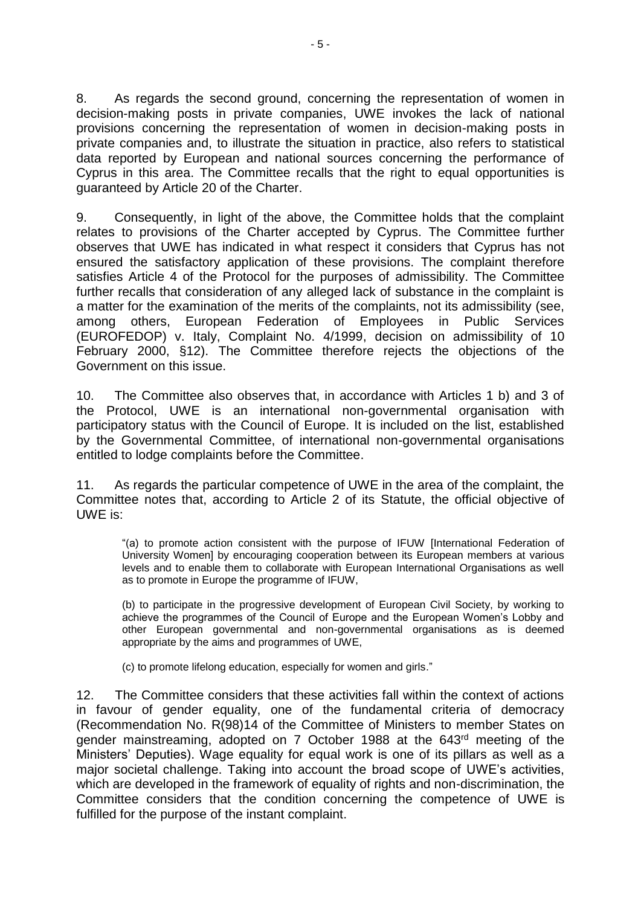8. As regards the second ground, concerning the representation of women in decision-making posts in private companies, UWE invokes the lack of national provisions concerning the representation of women in decision-making posts in private companies and, to illustrate the situation in practice, also refers to statistical data reported by European and national sources concerning the performance of Cyprus in this area. The Committee recalls that the right to equal opportunities is guaranteed by Article 20 of the Charter.

9. Consequently, in light of the above, the Committee holds that the complaint relates to provisions of the Charter accepted by Cyprus. The Committee further observes that UWE has indicated in what respect it considers that Cyprus has not ensured the satisfactory application of these provisions. The complaint therefore satisfies Article 4 of the Protocol for the purposes of admissibility. The Committee further recalls that consideration of any alleged lack of substance in the complaint is a matter for the examination of the merits of the complaints, not its admissibility (see, among others, European Federation of Employees in Public Services (EUROFEDOP) v. Italy, Complaint No. 4/1999, decision on admissibility of 10 February 2000, §12). The Committee therefore rejects the objections of the Government on this issue.

10. The Committee also observes that, in accordance with Articles 1 b) and 3 of the Protocol, UWE is an international non-governmental organisation with participatory status with the Council of Europe. It is included on the list, established by the Governmental Committee, of international non-governmental organisations entitled to lodge complaints before the Committee.

11. As regards the particular competence of UWE in the area of the complaint, the Committee notes that, according to Article 2 of its Statute, the official objective of UWE is:

"(a) to promote action consistent with the purpose of IFUW [International Federation of University Women] by encouraging cooperation between its European members at various levels and to enable them to collaborate with European International Organisations as well as to promote in Europe the programme of IFUW,

(b) to participate in the progressive development of European Civil Society, by working to achieve the programmes of the Council of Europe and the European Women's Lobby and other European governmental and non-governmental organisations as is deemed appropriate by the aims and programmes of UWE,

(c) to promote lifelong education, especially for women and girls."

12. The Committee considers that these activities fall within the context of actions in favour of gender equality, one of the fundamental criteria of democracy (Recommendation No. R(98)14 of the Committee of Ministers to member States on gender mainstreaming, adopted on 7 October 1988 at the 643rd meeting of the Ministers' Deputies). Wage equality for equal work is one of its pillars as well as a major societal challenge. Taking into account the broad scope of UWE's activities, which are developed in the framework of equality of rights and non-discrimination, the Committee considers that the condition concerning the competence of UWE is fulfilled for the purpose of the instant complaint.